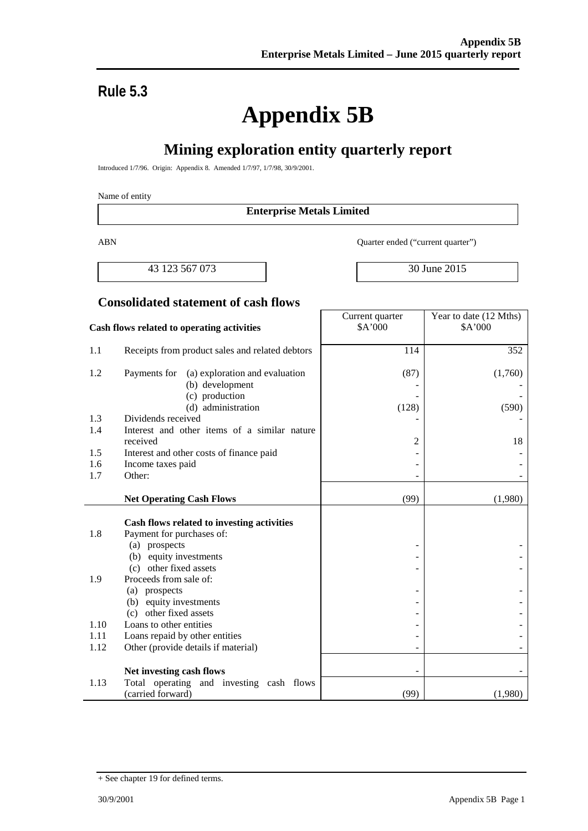# **Rule 5.3**

# **Appendix 5B**

# **Mining exploration entity quarterly report**

Introduced 1/7/96. Origin: Appendix 8. Amended 1/7/97, 1/7/98, 30/9/2001.

#### Name of entity

#### **Enterprise Metals Limited**

ABN Quarter ended ("current quarter")

43 123 567 073 2015

Year to date (12 Mths)

#### **Consolidated statement of cash flows**

#### **Cash flows related to operating activities** Current quarter \$A'000 \$A'000 1.1 Receipts from product sales and related debtors 114 114 352 1.2 Payments for (a) exploration and evaluation (b) development (c) production (d) administration (87) - - (128) (1,760) - - (590) 1.3 Dividends received 1.4 Interest and other items of a similar nature received  $\begin{array}{ccc} 18 & 2 & 18 \end{array}$ 1.5 Interest and other costs of finance paid -1.6 Income taxes paid contract the set of the set of the set of the set of the set of the set of the set of the set of the set of the set of the set of the set of the set of the set of the set of the set of the set of the  $1.7$  Other:  $\qquad \qquad$ **Net Operating Cash Flows** (99) (1,980) **Cash flows related to investing activities** 1.8 Payment for purchases of: (a) prospects (b) equity investments (c) other fixed assets - - - - - - 1.9 Proceeds from sale of: (a) prospects (b) equity investments (c) other fixed assets - - - - - - 1.10 Loans to other entities 1.11 Loans repaid by other entities  $\vert$  -  $\vert$ 1.12 Other (provide details if material) Net investing cash flows 1.13 Total operating and investing cash flows (carried forward) (99) (1,980)

<sup>+</sup> See chapter 19 for defined terms.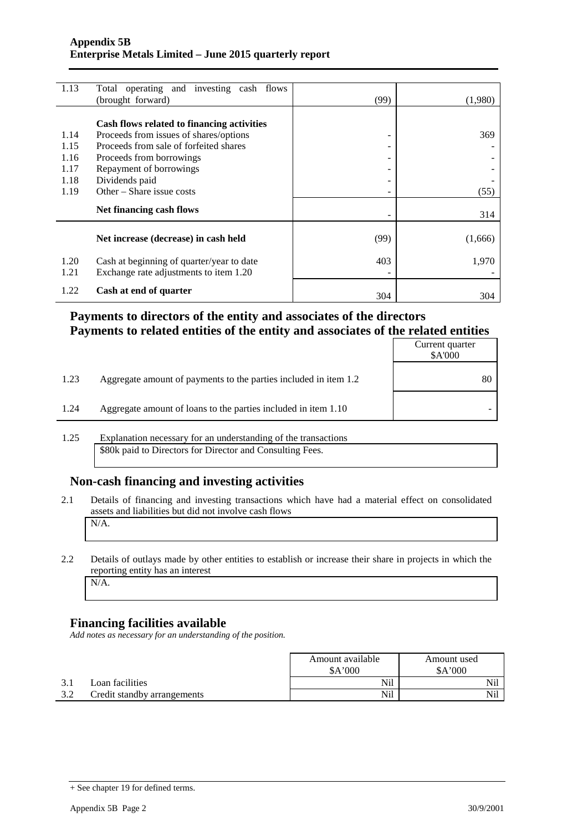| 1.13 | Total operating and investing cash flows   |      |         |
|------|--------------------------------------------|------|---------|
|      | (brought forward)                          | (99) | (1,980) |
|      |                                            |      |         |
|      | Cash flows related to financing activities |      |         |
| 1.14 | Proceeds from issues of shares/options     | -    | 369     |
| 1.15 | Proceeds from sale of forfeited shares     | -    |         |
| 1.16 | Proceeds from borrowings                   | ۰    |         |
| 1.17 | Repayment of borrowings                    | ۰    |         |
| 1.18 | Dividends paid                             | -    |         |
| 1.19 | Other – Share issue costs                  | -    | (55)    |
|      | Net financing cash flows                   |      |         |
|      |                                            |      | 314     |
|      |                                            |      |         |
|      | Net increase (decrease) in cash held       | (99) | (1,666) |
|      |                                            |      |         |
| 1.20 | Cash at beginning of quarter/year to date  | 403  | 1,970   |
| 1.21 | Exchange rate adjustments to item 1.20     |      |         |
| 1.22 | Cash at end of quarter                     |      |         |
|      |                                            | 304  | 304     |

### **Payments to directors of the entity and associates of the directors Payments to related entities of the entity and associates of the related entities**

|      |                                                                  | Current quarter<br>\$A'000 |
|------|------------------------------------------------------------------|----------------------------|
| 1.23 | Aggregate amount of payments to the parties included in item 1.2 |                            |
| 1.24 | Aggregate amount of loans to the parties included in item 1.10   |                            |

1.25 Explanation necessary for an understanding of the transactions \$80k paid to Directors for Director and Consulting Fees.

#### **Non-cash financing and investing activities**

2.1 Details of financing and investing transactions which have had a material effect on consolidated assets and liabilities but did not involve cash flows N/A.

## 2.2 Details of outlays made by other entities to establish or increase their share in projects in which the reporting entity has an interest

### N/A.

#### **Financing facilities available**

*Add notes as necessary for an understanding of the position.*

|                             | Amount available<br>Amount used |       |
|-----------------------------|---------------------------------|-------|
|                             | A'000                           | A'000 |
| Loan facilities             | Nil                             | Nil   |
| Credit standby arrangements | Nil                             | Nil   |

<sup>+</sup> See chapter 19 for defined terms.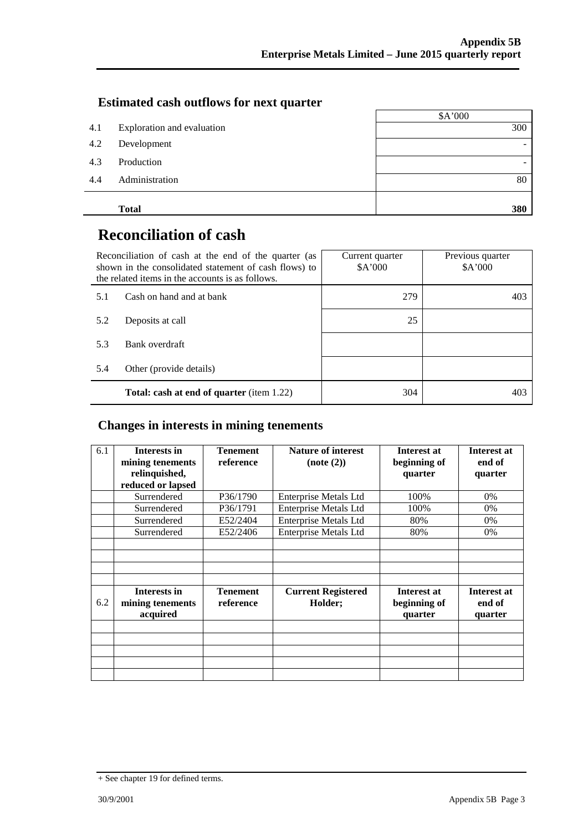#### **Estimated cash outflows for next quarter**

|     |                            | \$A'000 |
|-----|----------------------------|---------|
| 4.1 | Exploration and evaluation | 300     |
| 4.2 | Development                |         |
| 4.3 | Production                 |         |
| 4.4 | Administration             | 80      |
|     | <b>Total</b>               | 380     |

# **Reconciliation of cash**

|     | Reconciliation of cash at the end of the quarter (as<br>shown in the consolidated statement of cash flows) to<br>the related items in the accounts is as follows. | Current quarter<br>A'000 | Previous quarter<br>\$A'000 |  |
|-----|-------------------------------------------------------------------------------------------------------------------------------------------------------------------|--------------------------|-----------------------------|--|
| 5.1 | Cash on hand and at bank                                                                                                                                          | 279                      | 403                         |  |
| 5.2 | Deposits at call                                                                                                                                                  | 25                       |                             |  |
| 5.3 | Bank overdraft                                                                                                                                                    |                          |                             |  |
| 5.4 | Other (provide details)                                                                                                                                           |                          |                             |  |
|     | <b>Total: cash at end of quarter</b> (item 1.22)                                                                                                                  | 304                      | 403                         |  |

### **Changes in interests in mining tenements**

| 6.1 | <b>Interests in</b><br>mining tenements<br>relinquished,<br>reduced or lapsed | <b>Tenement</b><br>reference | <b>Nature of interest</b><br>$Note (2)$ | Interest at<br>beginning of<br>quarter | Interest at<br>end of<br>quarter |
|-----|-------------------------------------------------------------------------------|------------------------------|-----------------------------------------|----------------------------------------|----------------------------------|
|     | Surrendered                                                                   | P36/1790                     | <b>Enterprise Metals Ltd</b>            | 100%                                   | 0%                               |
|     | Surrendered                                                                   | P36/1791                     | <b>Enterprise Metals Ltd</b>            | 100%                                   | 0%                               |
|     | Surrendered                                                                   | E52/2404                     | <b>Enterprise Metals Ltd</b>            | 80%                                    | 0%                               |
|     | Surrendered                                                                   | E52/2406                     | <b>Enterprise Metals Ltd</b>            | 80%                                    | 0%                               |
|     |                                                                               |                              |                                         |                                        |                                  |
|     |                                                                               |                              |                                         |                                        |                                  |
| 6.2 | <b>Interests in</b><br>mining tenements<br>acquired                           | <b>Tenement</b><br>reference | <b>Current Registered</b><br>Holder;    | Interest at<br>beginning of<br>quarter | Interest at<br>end of<br>quarter |
|     |                                                                               |                              |                                         |                                        |                                  |
|     |                                                                               |                              |                                         |                                        |                                  |
|     |                                                                               |                              |                                         |                                        |                                  |
|     |                                                                               |                              |                                         |                                        |                                  |
|     |                                                                               |                              |                                         |                                        |                                  |

<sup>+</sup> See chapter 19 for defined terms.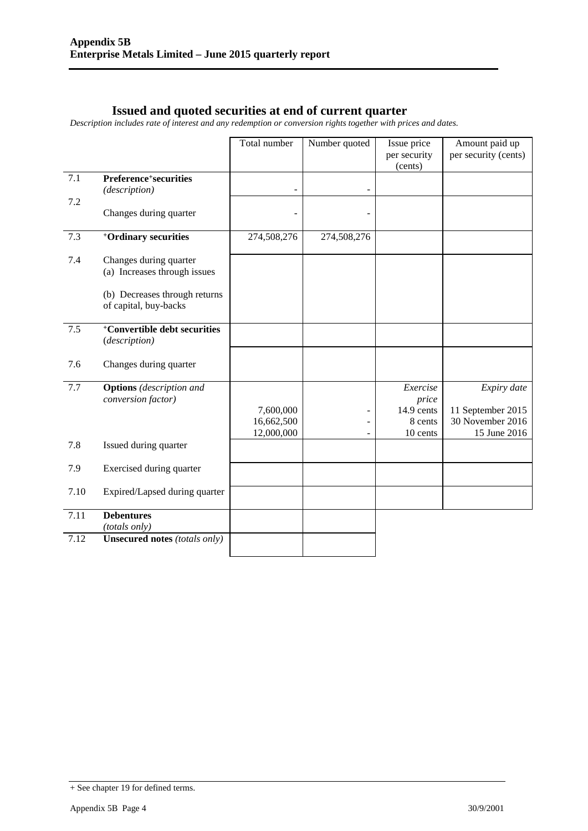### **Issued and quoted securities at end of current quarter**

*Description includes rate of interest and any redemption or conversion rights together with prices and dates.*

|      |                                                           | Total number            | Number quoted | Issue price<br>per security | Amount paid up<br>per security (cents) |
|------|-----------------------------------------------------------|-------------------------|---------------|-----------------------------|----------------------------------------|
|      |                                                           |                         |               | (cents)                     |                                        |
| 7.1  | Preference <sup>+</sup> securities<br>(description)       |                         |               |                             |                                        |
| 7.2  |                                                           |                         |               |                             |                                        |
|      | Changes during quarter                                    |                         |               |                             |                                        |
| 7.3  | <sup>+</sup> Ordinary securities                          | 274,508,276             | 274,508,276   |                             |                                        |
| 7.4  | Changes during quarter<br>(a) Increases through issues    |                         |               |                             |                                        |
|      | (b) Decreases through returns<br>of capital, buy-backs    |                         |               |                             |                                        |
| 7.5  | <sup>+</sup> Convertible debt securities<br>(description) |                         |               |                             |                                        |
| 7.6  | Changes during quarter                                    |                         |               |                             |                                        |
| 7.7  | <b>Options</b> (description and<br>conversion factor)     |                         |               | Exercise<br>price           | Expiry date                            |
|      |                                                           | 7,600,000<br>16,662,500 |               | 14.9 cents<br>8 cents       | 11 September 2015<br>30 November 2016  |
|      |                                                           | 12,000,000              |               | 10 cents                    | 15 June 2016                           |
| 7.8  | Issued during quarter                                     |                         |               |                             |                                        |
| 7.9  | Exercised during quarter                                  |                         |               |                             |                                        |
| 7.10 | Expired/Lapsed during quarter                             |                         |               |                             |                                        |
| 7.11 | <b>Debentures</b><br>(totals only)                        |                         |               |                             |                                        |
| 7.12 | <b>Unsecured notes (totals only)</b>                      |                         |               |                             |                                        |

<sup>+</sup> See chapter 19 for defined terms.